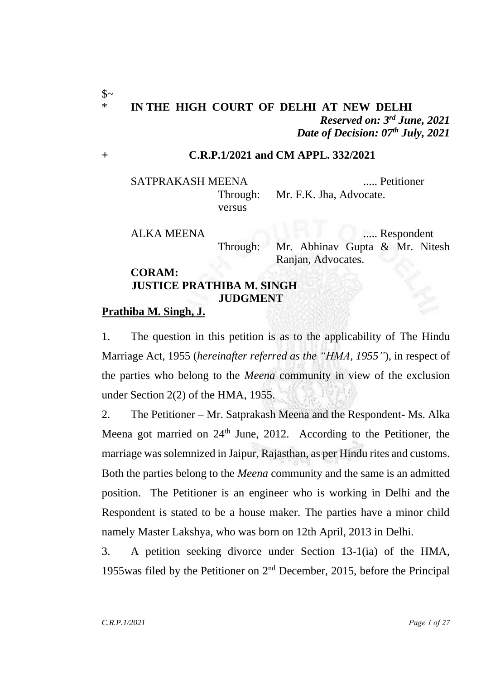$\mathcal{S}$ ~

## \* **IN THE HIGH COURT OF DELHI AT NEW DELHI** *Reserved on: 3 rd June, 2021 Date of Decision: 07th July, 2021*

#### **+ C.R.P.1/2021 and CM APPL. 332/2021**

SATPRAKASH MEENA ..... Petitioner Through: Mr. F.K. Jha, Advocate. versus

ALKA MEENA ..... Respondent Through: Mr. Abhinav Gupta & Mr. Nitesh Ranjan, Advocates.

#### **CORAM: JUSTICE PRATHIBA M. SINGH JUDGMENT**

#### **Prathiba M. Singh, J.**

1. The question in this petition is as to the applicability of The Hindu Marriage Act, 1955 (*hereinafter referred as the "HMA, 1955"*), in respect of the parties who belong to the *Meena* community in view of the exclusion under Section 2(2) of the HMA, 1955.

2. The Petitioner – Mr. Satprakash Meena and the Respondent- Ms. Alka Meena got married on 24<sup>th</sup> June, 2012. According to the Petitioner, the marriage was solemnized in Jaipur, Rajasthan, as per Hindu rites and customs. Both the parties belong to the *Meena* community and the same is an admitted position. The Petitioner is an engineer who is working in Delhi and the Respondent is stated to be a house maker. The parties have a minor child namely Master Lakshya, who was born on 12th April, 2013 in Delhi.

3. A petition seeking divorce under Section 13-1(ia) of the HMA, 1955was filed by the Petitioner on 2 nd December, 2015, before the Principal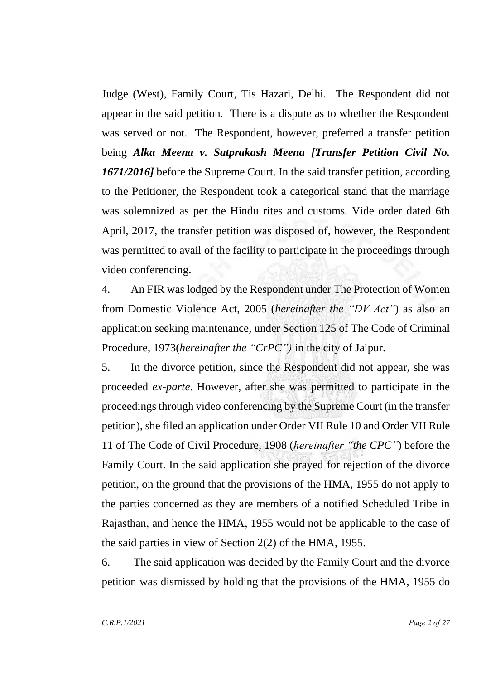Judge (West), Family Court, Tis Hazari, Delhi. The Respondent did not appear in the said petition. There is a dispute as to whether the Respondent was served or not. The Respondent, however, preferred a transfer petition being *Alka Meena v. Satprakash Meena [Transfer Petition Civil No. 1671/2016]* before the Supreme Court. In the said transfer petition, according to the Petitioner, the Respondent took a categorical stand that the marriage was solemnized as per the Hindu rites and customs. Vide order dated 6th April, 2017, the transfer petition was disposed of, however, the Respondent was permitted to avail of the facility to participate in the proceedings through video conferencing.

4. An FIR was lodged by the Respondent under The Protection of Women from Domestic Violence Act, 2005 (*hereinafter the "DV Act"*) as also an application seeking maintenance, under Section 125 of The Code of Criminal Procedure, 1973(*hereinafter the "CrPC")* in the city of Jaipur.

5. In the divorce petition, since the Respondent did not appear, she was proceeded *ex-parte*. However, after she was permitted to participate in the proceedings through video conferencing by the Supreme Court (in the transfer petition), she filed an application under Order VII Rule 10 and Order VII Rule 11 of The Code of Civil Procedure, 1908 (*hereinafter "the CPC"*) before the Family Court. In the said application she prayed for rejection of the divorce petition, on the ground that the provisions of the HMA, 1955 do not apply to the parties concerned as they are members of a notified Scheduled Tribe in Rajasthan, and hence the HMA, 1955 would not be applicable to the case of the said parties in view of Section 2(2) of the HMA, 1955.

6. The said application was decided by the Family Court and the divorce petition was dismissed by holding that the provisions of the HMA, 1955 do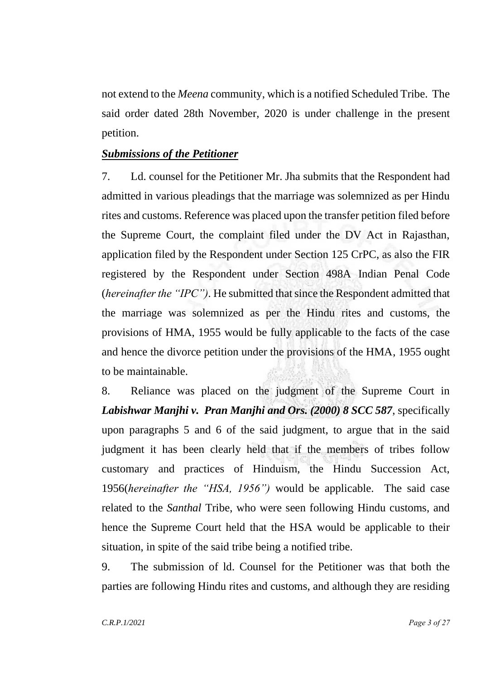not extend to the *Meena* community, which is a notified Scheduled Tribe. The said order dated 28th November, 2020 is under challenge in the present petition.

#### *Submissions of the Petitioner*

7. Ld. counsel for the Petitioner Mr. Jha submits that the Respondent had admitted in various pleadings that the marriage was solemnized as per Hindu rites and customs. Reference was placed upon the transfer petition filed before the Supreme Court, the complaint filed under the DV Act in Rajasthan, application filed by the Respondent under Section 125 CrPC, as also the FIR registered by the Respondent under Section 498A Indian Penal Code (*hereinafter the "IPC").* He submitted that since the Respondent admitted that the marriage was solemnized as per the Hindu rites and customs, the provisions of HMA, 1955 would be fully applicable to the facts of the case and hence the divorce petition under the provisions of the HMA, 1955 ought to be maintainable.

8. Reliance was placed on the judgment of the Supreme Court in *Labishwar Manjhi v. Pran Manjhi and Ors. (2000) 8 SCC 587*, specifically upon paragraphs 5 and 6 of the said judgment, to argue that in the said judgment it has been clearly held that if the members of tribes follow customary and practices of Hinduism, the Hindu Succession Act, 1956(*hereinafter the "HSA, 1956")* would be applicable. The said case related to the *Santhal* Tribe, who were seen following Hindu customs, and hence the Supreme Court held that the HSA would be applicable to their situation, in spite of the said tribe being a notified tribe.

9. The submission of ld. Counsel for the Petitioner was that both the parties are following Hindu rites and customs, and although they are residing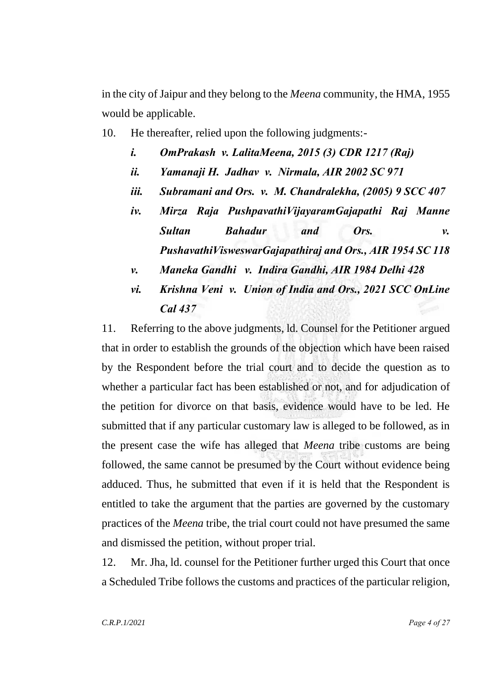in the city of Jaipur and they belong to the *Meena* community, the HMA, 1955 would be applicable.

- 10. He thereafter, relied upon the following judgments:
	- *i. OmPrakash v. LalitaMeena, 2015 (3) CDR 1217 (Raj)*
	- *ii. Yamanaji H. Jadhav v. Nirmala, AIR 2002 SC 971*
	- *iii. Subramani and Ors. v. M. Chandralekha, (2005) 9 SCC 407*
	- *iv. Mirza Raja PushpavathiVijayaramGajapathi Raj Manne Sultan Bahadur and Ors. v. PushavathiVisweswarGajapathiraj and Ors., AIR 1954 SC 118*
	- *v. Maneka Gandhi v. Indira Gandhi, AIR 1984 Delhi 428*
	- *vi. Krishna Veni v. Union of India and Ors., 2021 SCC OnLine Cal 437*

11. Referring to the above judgments, ld. Counsel for the Petitioner argued that in order to establish the grounds of the objection which have been raised by the Respondent before the trial court and to decide the question as to whether a particular fact has been established or not, and for adjudication of the petition for divorce on that basis, evidence would have to be led. He submitted that if any particular customary law is alleged to be followed, as in the present case the wife has alleged that *Meena* tribe customs are being followed, the same cannot be presumed by the Court without evidence being adduced. Thus, he submitted that even if it is held that the Respondent is entitled to take the argument that the parties are governed by the customary practices of the *Meena* tribe, the trial court could not have presumed the same and dismissed the petition, without proper trial.

12. Mr. Jha, ld. counsel for the Petitioner further urged this Court that once a Scheduled Tribe follows the customs and practices of the particular religion,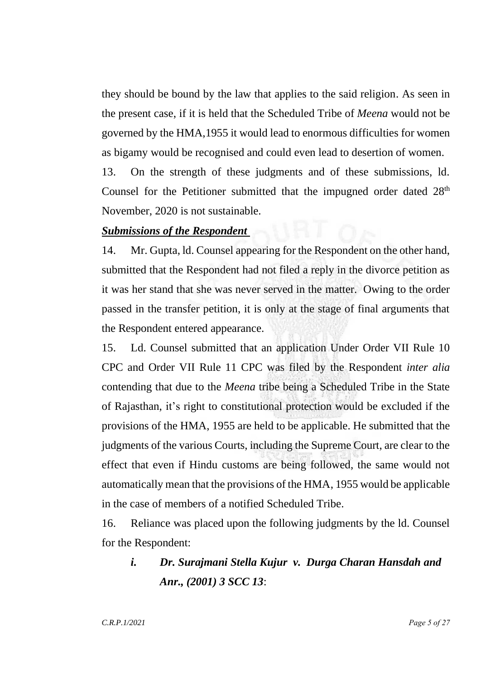they should be bound by the law that applies to the said religion. As seen in the present case, if it is held that the Scheduled Tribe of *Meena* would not be governed by the HMA,1955 it would lead to enormous difficulties for women as bigamy would be recognised and could even lead to desertion of women.

13. On the strength of these judgments and of these submissions, ld. Counsel for the Petitioner submitted that the impugned order dated 28<sup>th</sup> November, 2020 is not sustainable.

#### *Submissions of the Respondent*

14. Mr. Gupta, ld. Counsel appearing for the Respondent on the other hand, submitted that the Respondent had not filed a reply in the divorce petition as it was her stand that she was never served in the matter. Owing to the order passed in the transfer petition, it is only at the stage of final arguments that the Respondent entered appearance.

15. Ld. Counsel submitted that an application Under Order VII Rule 10 CPC and Order VII Rule 11 CPC was filed by the Respondent *inter alia* contending that due to the *Meena* tribe being a Scheduled Tribe in the State of Rajasthan, it's right to constitutional protection would be excluded if the provisions of the HMA, 1955 are held to be applicable. He submitted that the judgments of the various Courts, including the Supreme Court, are clear to the effect that even if Hindu customs are being followed, the same would not automatically mean that the provisions of the HMA, 1955 would be applicable in the case of members of a notified Scheduled Tribe.

16. Reliance was placed upon the following judgments by the ld. Counsel for the Respondent:

# *i. Dr. Surajmani Stella Kujur v. Durga Charan Hansdah and Anr., (2001) 3 SCC 13*: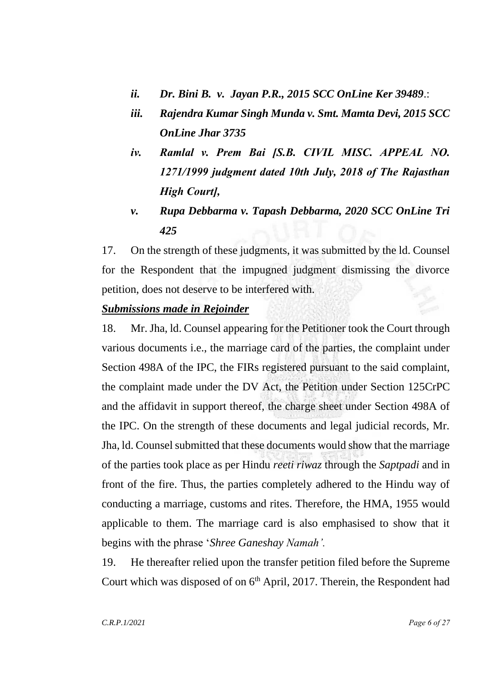- *ii. Dr. Bini B. v. Jayan P.R., 2015 SCC OnLine Ker 39489*.:
- *iii. Rajendra Kumar Singh Munda v. Smt. Mamta Devi, 2015 SCC OnLine Jhar 3735*
- *iv. Ramlal v. Prem Bai [S.B. CIVIL MISC. APPEAL NO. 1271/1999 judgment dated 10th July, 2018 of The Rajasthan High Court],*
- *v. Rupa Debbarma v. Tapash Debbarma, 2020 SCC OnLine Tri 425*

17. On the strength of these judgments, it was submitted by the ld. Counsel for the Respondent that the impugned judgment dismissing the divorce petition, does not deserve to be interfered with.

### *Submissions made in Rejoinder*

18. Mr. Jha, ld. Counsel appearing for the Petitioner took the Court through various documents i.e., the marriage card of the parties, the complaint under Section 498A of the IPC, the FIRs registered pursuant to the said complaint, the complaint made under the DV Act, the Petition under Section 125CrPC and the affidavit in support thereof, the charge sheet under Section 498A of the IPC. On the strength of these documents and legal judicial records, Mr. Jha, ld. Counsel submitted that these documents would show that the marriage of the parties took place as per Hindu *reeti riwaz* through the *Saptpadi* and in front of the fire. Thus, the parties completely adhered to the Hindu way of conducting a marriage, customs and rites. Therefore, the HMA, 1955 would applicable to them. The marriage card is also emphasised to show that it begins with the phrase '*Shree Ganeshay Namah'.*

19. He thereafter relied upon the transfer petition filed before the Supreme Court which was disposed of on  $6<sup>th</sup>$  April, 2017. Therein, the Respondent had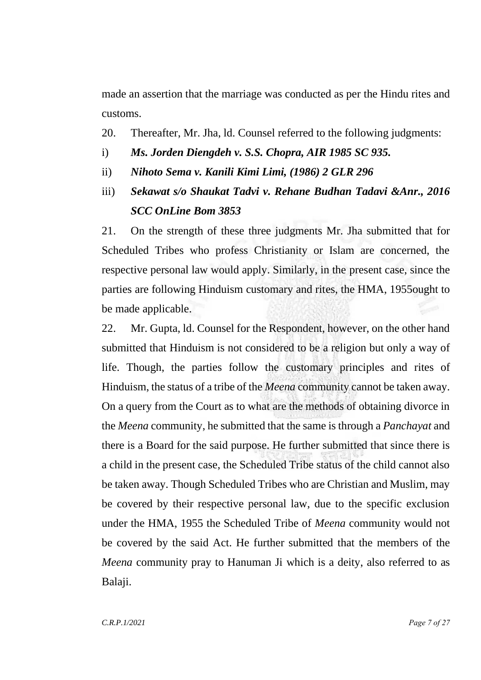made an assertion that the marriage was conducted as per the Hindu rites and customs.

- 20. Thereafter, Mr. Jha, ld. Counsel referred to the following judgments:
- i) *Ms. Jorden Diengdeh v. S.S. Chopra, AIR 1985 SC 935.*
- ii) *Nihoto Sema v. Kanili Kimi Limi, (1986) 2 GLR 296*
- iii) *Sekawat s/o Shaukat Tadvi v. Rehane Budhan Tadavi &Anr., 2016 SCC OnLine Bom 3853*

21. On the strength of these three judgments Mr. Jha submitted that for Scheduled Tribes who profess Christianity or Islam are concerned, the respective personal law would apply. Similarly, in the present case, since the parties are following Hinduism customary and rites, the HMA, 1955ought to be made applicable.

22. Mr. Gupta, ld. Counsel for the Respondent, however, on the other hand submitted that Hinduism is not considered to be a religion but only a way of life. Though, the parties follow the customary principles and rites of Hinduism, the status of a tribe of the *Meena* community cannot be taken away. On a query from the Court as to what are the methods of obtaining divorce in the *Meena* community, he submitted that the same is through a *Panchayat* and there is a Board for the said purpose. He further submitted that since there is a child in the present case, the Scheduled Tribe status of the child cannot also be taken away. Though Scheduled Tribes who are Christian and Muslim, may be covered by their respective personal law, due to the specific exclusion under the HMA, 1955 the Scheduled Tribe of *Meena* community would not be covered by the said Act. He further submitted that the members of the *Meena* community pray to Hanuman Ji which is a deity, also referred to as Balaji.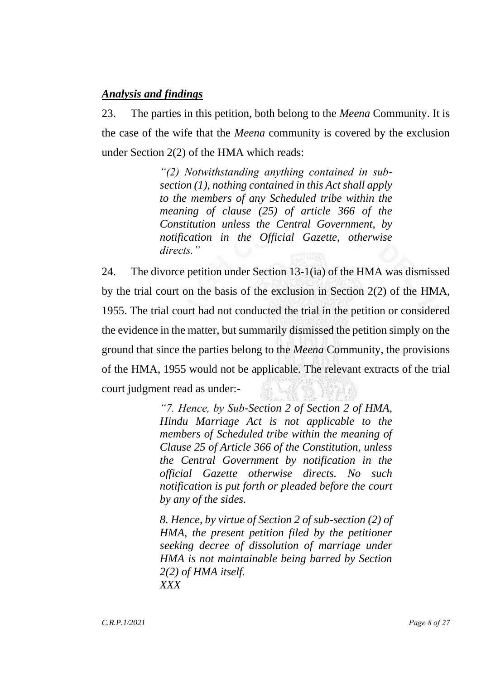## *Analysis and findings*

23. The parties in this petition, both belong to the *Meena* Community. It is the case of the wife that the *Meena* community is covered by the exclusion under Section 2(2) of the HMA which reads:

> *"(2) Notwithstanding anything contained in subsection (1), nothing contained in this Act shall apply to the members of any Scheduled tribe within the meaning of clause (25) of article 366 of the Constitution unless the Central Government, by notification in the Official Gazette, otherwise directs."*

24. The divorce petition under Section 13-1(ia) of the HMA was dismissed by the trial court on the basis of the exclusion in Section 2(2) of the HMA, 1955. The trial court had not conducted the trial in the petition or considered the evidence in the matter, but summarily dismissed the petition simply on the ground that since the parties belong to the *Meena* Community, the provisions of the HMA, 1955 would not be applicable. The relevant extracts of the trial court judgment read as under:-

> *"7. Hence, by Sub-Section 2 of Section 2 of HMA, Hindu Marriage Act is not applicable to the members of Scheduled tribe within the meaning of Clause 25 of Article 366 of the Constitution, unless the Central Government by notification in the official Gazette otherwise directs. No such notification is put forth or pleaded before the court by any of the sides.*

> *8. Hence, by virtue of Section 2 of sub-section (2) of HMA, the present petition filed by the petitioner seeking decree of dissolution of marriage under HMA is not maintainable being barred by Section 2(2) of HMA itself. XXX*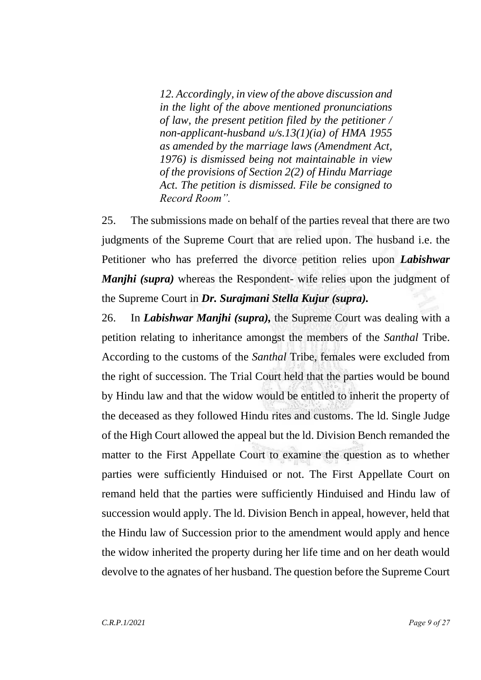*12. Accordingly, in view of the above discussion and in the light of the above mentioned pronunciations of law, the present petition filed by the petitioner / non-applicant-husband u/s.13(1)(ia) of HMA 1955 as amended by the marriage laws (Amendment Act, 1976) is dismissed being not maintainable in view of the provisions of Section 2(2) of Hindu Marriage Act. The petition is dismissed. File be consigned to Record Room".*

25. The submissions made on behalf of the parties reveal that there are two judgments of the Supreme Court that are relied upon. The husband i.e. the Petitioner who has preferred the divorce petition relies upon *Labishwar Manjhi* (*supra*) whereas the Respondent- wife relies upon the judgment of the Supreme Court in *Dr. Surajmani Stella Kujur (supra).*

26. In *Labishwar Manjhi (supra),* the Supreme Court was dealing with a petition relating to inheritance amongst the members of the *Santhal* Tribe. According to the customs of the *Santhal* Tribe, females were excluded from the right of succession. The Trial Court held that the parties would be bound by Hindu law and that the widow would be entitled to inherit the property of the deceased as they followed Hindu rites and customs. The ld. Single Judge of the High Court allowed the appeal but the ld. Division Bench remanded the matter to the First Appellate Court to examine the question as to whether parties were sufficiently Hinduised or not. The First Appellate Court on remand held that the parties were sufficiently Hinduised and Hindu law of succession would apply. The ld. Division Bench in appeal, however, held that the Hindu law of Succession prior to the amendment would apply and hence the widow inherited the property during her life time and on her death would devolve to the agnates of her husband. The question before the Supreme Court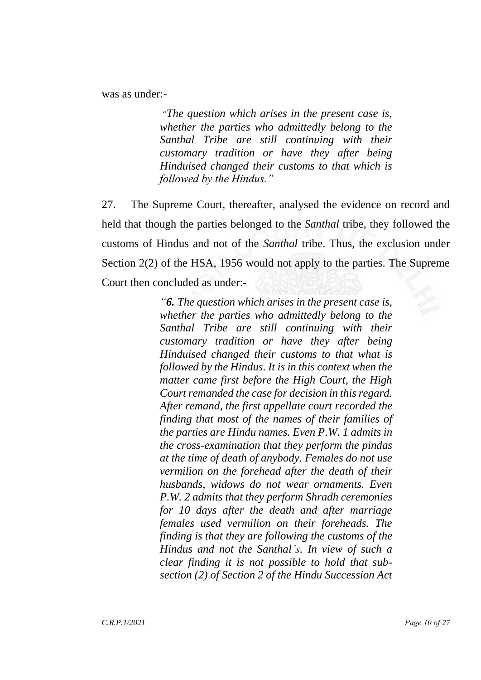was as under:-

*"The question which arises in the present case is, whether the parties who admittedly belong to the Santhal Tribe are still continuing with their customary tradition or have they after being Hinduised changed their customs to that which is followed by the Hindus."*

27. The Supreme Court, thereafter, analysed the evidence on record and held that though the parties belonged to the *Santhal* tribe, they followed the customs of Hindus and not of the *Santhal* tribe. Thus, the exclusion under Section 2(2) of the HSA, 1956 would not apply to the parties. The Supreme Court then concluded as under:-

> *"6. The question which arises in the present case is, whether the parties who admittedly belong to the Santhal Tribe are still continuing with their customary tradition or have they after being Hinduised changed their customs to that what is followed by the Hindus. It is in this context when the matter came first before the High Court, the High Court remanded the case for decision in this regard. After remand, the first appellate court recorded the finding that most of the names of their families of the parties are Hindu names. Even P.W. 1 admits in the cross-examination that they perform the pindas at the time of death of anybody. Females do not use vermilion on the forehead after the death of their husbands, widows do not wear ornaments. Even P.W. 2 admits that they perform Shradh ceremonies for 10 days after the death and after marriage females used vermilion on their foreheads. The finding is that they are following the customs of the Hindus and not the Santhal's. In view of such a clear finding it is not possible to hold that subsection (2) of Section 2 of the Hindu Succession Act*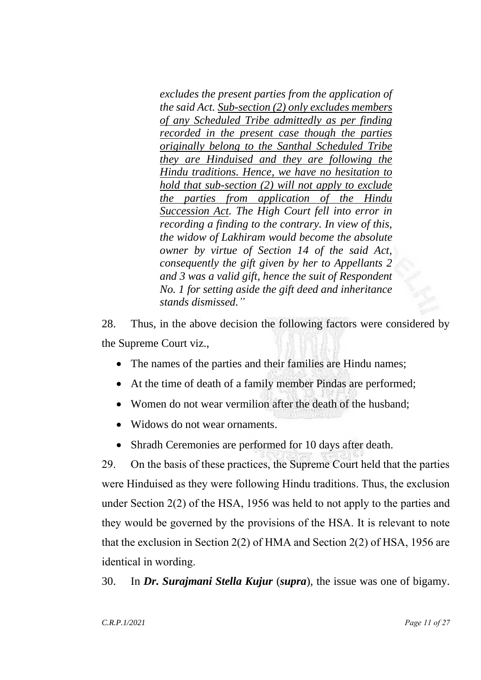*excludes the present parties from the application of the said Act. Sub-section (2) only excludes members of any Scheduled Tribe admittedly as per finding recorded in the present case though the parties originally belong to the Santhal Scheduled Tribe they are Hinduised and they are following the Hindu traditions. Hence, we have no hesitation to hold that sub-section (2) will not apply to exclude the parties from application of the Hindu Succession Act. The High Court fell into error in recording a finding to the contrary. In view of this, the widow of Lakhiram would become the absolute owner by virtue of Section 14 of the said Act, consequently the gift given by her to Appellants 2 and 3 was a valid gift, hence the suit of Respondent No. 1 for setting aside the gift deed and inheritance stands dismissed."*

28. Thus, in the above decision the following factors were considered by the Supreme Court viz.,

- The names of the parties and their families are Hindu names;
- At the time of death of a family member Pindas are performed;
- Women do not wear vermilion after the death of the husband:
- Widows do not wear ornaments.
- Shradh Ceremonies are performed for 10 days after death.

29. On the basis of these practices, the Supreme Court held that the parties were Hinduised as they were following Hindu traditions. Thus, the exclusion under Section 2(2) of the HSA, 1956 was held to not apply to the parties and they would be governed by the provisions of the HSA. It is relevant to note that the exclusion in Section 2(2) of HMA and Section 2(2) of HSA, 1956 are identical in wording.

30. In *Dr. Surajmani Stella Kujur* (*supra*), the issue was one of bigamy.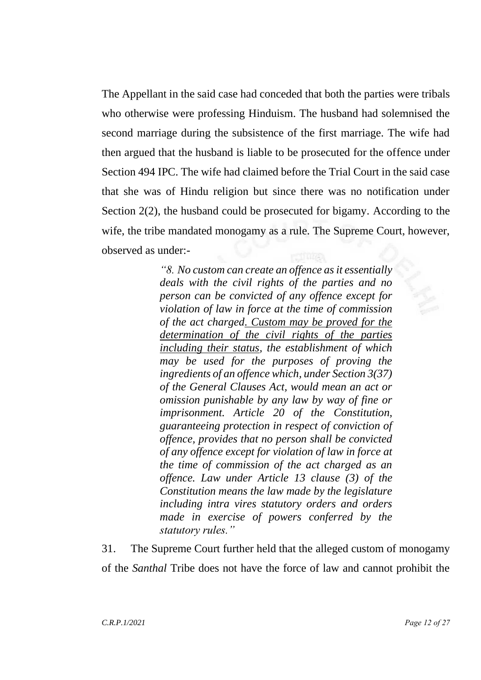The Appellant in the said case had conceded that both the parties were tribals who otherwise were professing Hinduism. The husband had solemnised the second marriage during the subsistence of the first marriage. The wife had then argued that the husband is liable to be prosecuted for the offence under Section 494 IPC. The wife had claimed before the Trial Court in the said case that she was of Hindu religion but since there was no notification under Section 2(2), the husband could be prosecuted for bigamy. According to the wife, the tribe mandated monogamy as a rule. The Supreme Court, however, observed as under:-

> *"8. No custom can create an offence as it essentially deals with the civil rights of the parties and no person can be convicted of any offence except for violation of law in force at the time of commission of the act charged. Custom may be proved for the determination of the civil rights of the parties including their status, the establishment of which may be used for the purposes of proving the ingredients of an offence which, under Section 3(37) of the General Clauses Act, would mean an act or omission punishable by any law by way of fine or imprisonment. Article 20 of the Constitution, guaranteeing protection in respect of conviction of offence, provides that no person shall be convicted of any offence except for violation of law in force at the time of commission of the act charged as an offence. Law under Article 13 clause (3) of the Constitution means the law made by the legislature including intra vires statutory orders and orders made in exercise of powers conferred by the statutory rules."*

31. The Supreme Court further held that the alleged custom of monogamy of the *Santhal* Tribe does not have the force of law and cannot prohibit the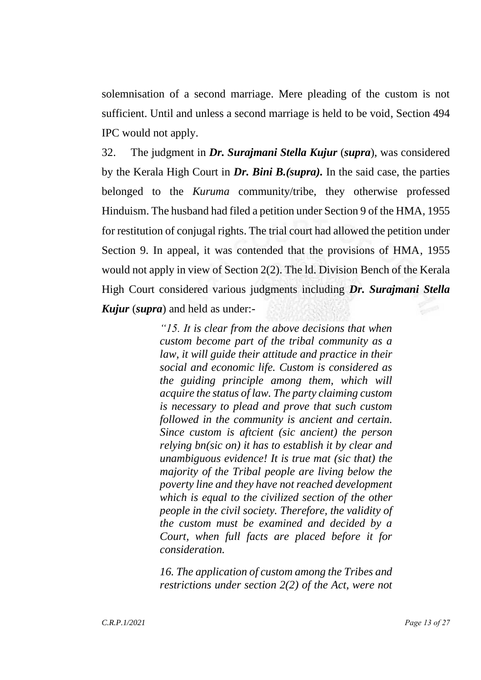solemnisation of a second marriage. Mere pleading of the custom is not sufficient. Until and unless a second marriage is held to be void, Section 494 IPC would not apply.

32. The judgment in *Dr. Surajmani Stella Kujur* (*supra*), was considered by the Kerala High Court in *Dr. Bini B.(supra).* In the said case, the parties belonged to the *Kuruma* community/tribe, they otherwise professed Hinduism. The husband had filed a petition under Section 9 of the HMA, 1955 for restitution of conjugal rights. The trial court had allowed the petition under Section 9. In appeal, it was contended that the provisions of HMA, 1955 would not apply in view of Section 2(2). The ld. Division Bench of the Kerala High Court considered various judgments including *Dr. Surajmani Stella Kujur* (*supra*) and held as under:-

> *"15. It is clear from the above decisions that when custom become part of the tribal community as a law, it will guide their attitude and practice in their social and economic life. Custom is considered as the guiding principle among them, which will acquire the status of law. The party claiming custom is necessary to plead and prove that such custom followed in the community is ancient and certain. Since custom is aftcient (sic ancient) the person relying bn(sic on) it has to establish it by clear and unambiguous evidence! It is true mat (sic that) the majority of the Tribal people are living below the poverty line and they have not reached development which is equal to the civilized section of the other people in the civil society. Therefore, the validity of the custom must be examined and decided by a Court, when full facts are placed before it for consideration.*

> *16. The application of custom among the Tribes and restrictions under section 2(2) of the Act, were not*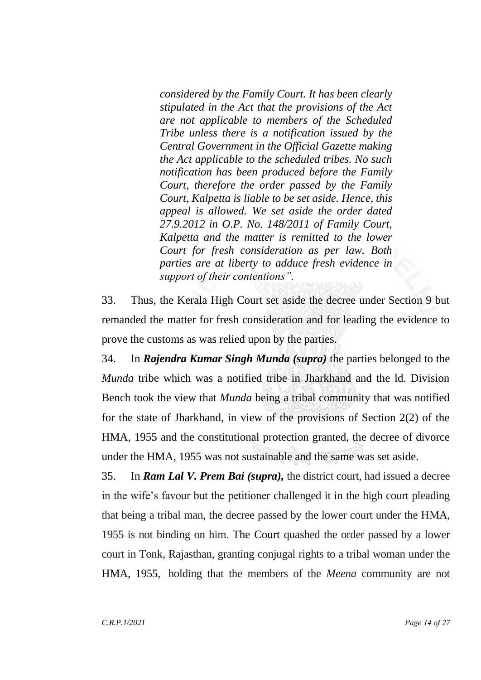*considered by the Family Court. It has been clearly stipulated in the Act that the provisions of the Act are not applicable to members of the Scheduled Tribe unless there is a notification issued by the Central Government in the Official Gazette making the Act applicable to the scheduled tribes. No such notification has been produced before the Family Court, therefore the order passed by the Family Court, Kalpetta is liable to be set aside. Hence, this appeal is allowed. We set aside the order dated 27.9.2012 in O.P. No. 148/2011 of Family Court, Kalpetta and the matter is remitted to the lower Court for fresh consideration as per law. Both parties are at liberty to adduce fresh evidence in support of their contentions".*

33. Thus, the Kerala High Court set aside the decree under Section 9 but remanded the matter for fresh consideration and for leading the evidence to prove the customs as was relied upon by the parties.

34. In *Rajendra Kumar Singh Munda (supra)* the parties belonged to the *Munda* tribe which was a notified tribe in Jharkhand and the ld. Division Bench took the view that *Munda* being a tribal community that was notified for the state of Jharkhand, in view of the provisions of Section 2(2) of the HMA, 1955 and the constitutional protection granted, the decree of divorce under the HMA, 1955 was not sustainable and the same was set aside.

35. In *Ram Lal V. Prem Bai (supra),* the district court, had issued a decree in the wife's favour but the petitioner challenged it in the high court pleading that being a tribal man, the decree passed by the lower court under the HMA, 1955 is not binding on him. The Court quashed the order passed by a lower court in Tonk, Rajasthan, granting conjugal rights to a tribal woman under the [HMA, 1955,](https://timesofindia.indiatimes.com/topic/Hindu-Marriage-Act) holding that the members of the *Meena* community are not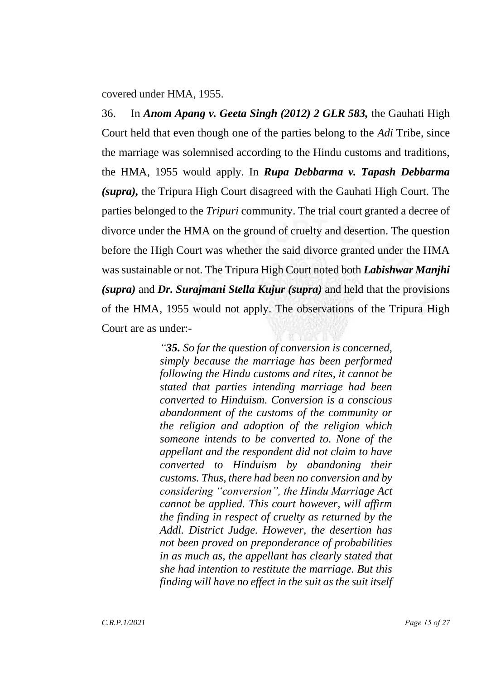covered under HMA, 1955.

36. In *Anom Apang v. Geeta Singh (2012) 2 GLR 583,* the Gauhati High Court held that even though one of the parties belong to the *Adi* Tribe, since the marriage was solemnised according to the Hindu customs and traditions, the HMA, 1955 would apply. In *Rupa Debbarma v. Tapash Debbarma (supra),* the Tripura High Court disagreed with the Gauhati High Court. The parties belonged to the *Tripuri* community. The trial court granted a decree of divorce under the HMA on the ground of cruelty and desertion. The question before the High Court was whether the said divorce granted under the HMA was sustainable or not. The Tripura High Court noted both *Labishwar Manjhi (supra)* and *Dr. Surajmani Stella Kujur (supra)* and held that the provisions of the HMA, 1955 would not apply. The observations of the Tripura High Court are as under:-

> *"35. So far the question of conversion is concerned, simply because the marriage has been performed following the Hindu customs and rites, it cannot be stated that parties intending marriage had been converted to Hinduism. Conversion is a conscious abandonment of the customs of the community or the religion and adoption of the religion which someone intends to be converted to. None of the appellant and the respondent did not claim to have converted to Hinduism by abandoning their customs. Thus, there had been no conversion and by considering "conversion", the Hindu Marriage Act cannot be applied. This court however, will affirm the finding in respect of cruelty as returned by the Addl. District Judge. However, the desertion has not been proved on preponderance of probabilities in as much as, the appellant has clearly stated that she had intention to restitute the marriage. But this finding will have no effect in the suit as the suit itself*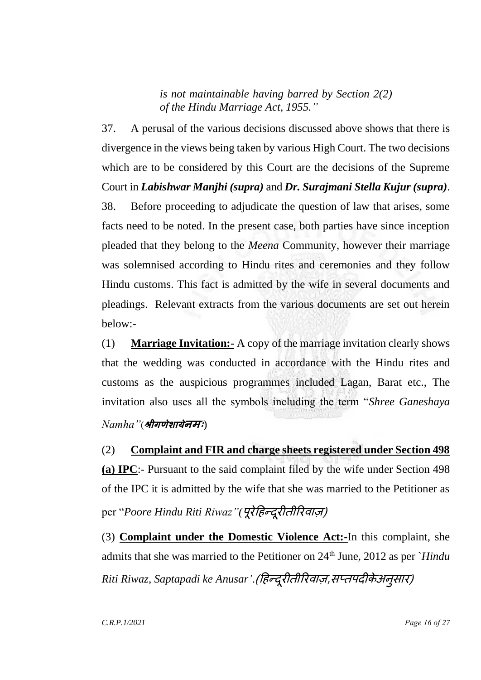*is not maintainable having barred by Section 2(2) of the Hindu Marriage Act, 1955."*

37. A perusal of the various decisions discussed above shows that there is divergence in the views being taken by various High Court. The two decisions which are to be considered by this Court are the decisions of the Supreme Court in *Labishwar Manjhi (supra)* and *Dr. Surajmani Stella Kujur (supra)*. 38. Before proceeding to adjudicate the question of law that arises, some facts need to be noted. In the present case, both parties have since inception pleaded that they belong to the *Meena* Community, however their marriage was solemnised according to Hindu rites and ceremonies and they follow Hindu customs. This fact is admitted by the wife in several documents and pleadings. Relevant extracts from the various documents are set out herein below:-

(1) **Marriage Invitation:-** A copy of the marriage invitation clearly shows that the wedding was conducted in accordance with the Hindu rites and customs as the auspicious programmes included Lagan, Barat etc., The invitation also uses all the symbols including the term "*Shree Ganeshaya Namha"*(**श्रीगणेशायेनमः**)

(2) **Complaint and FIR and charge sheets registered under Section 498 (a) IPC**:- Pursuant to the said complaint filed by the wife under Section 498 of the IPC it is admitted by the wife that she was married to the Petitioner as per "*Poore Hindu Riti Riwaz"(पूरेहिन्दूरीतीरिवाज़)* 

(3) **Complaint under the Domestic Violence Act:-**In this complaint, she admits that she was married to the Petitioner on 24<sup>th</sup> June, 2012 as per *`Hindu* Riti Riwaz, Saptapadi ke Anusar'.(हिन्दूरीतीरिवाज़,सप्तपदीकेअनुसार)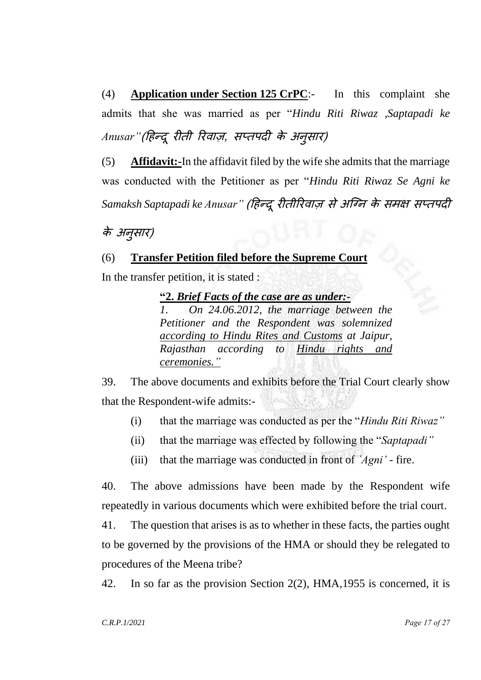(4) **Application under Section 125 CrPC**:- In this complaint she admits that she was married as per "*Hindu Riti Riwaz ,Saptapadi ke* Anusar"(हिन्दू रीती रिवाज़, सप्तपदी के अनुसार)

(5) **Affidavit:-**In the affidavit filed by the wife she admits that the marriage was conducted with the Petitioner as per "*Hindu Riti Riwaz Se Agni ke Samaksh Saptapadi ke Anusar"* (हिन्दूरीतीररवाज़ सेअग्नन के समक्ष सप्तपदी

# के अन ुसार)

## (6) **Transfer Petition filed before the Supreme Court**

In the transfer petition, it is stated :

**"2.** *Brief Facts of the case are as under:-*

*1. On 24.06.2012, the marriage between the Petitioner and the Respondent was solemnized according to Hindu Rites and Customs at Jaipur, Rajasthan according to Hindu rights and ceremonies."*

39. The above documents and exhibits before the Trial Court clearly show that the Respondent-wife admits:-

- (i) that the marriage was conducted as per the "*Hindu Riti Riwaz"*
- (ii) that the marriage was effected by following the "*Saptapadi"*
- (iii) that the marriage was conducted in front of *`Agni'* fire.

40. The above admissions have been made by the Respondent wife repeatedly in various documents which were exhibited before the trial court.

41. The question that arises is as to whether in these facts, the parties ought to be governed by the provisions of the HMA or should they be relegated to procedures of the Meena tribe?

42. In so far as the provision Section 2(2), HMA,1955 is concerned, it is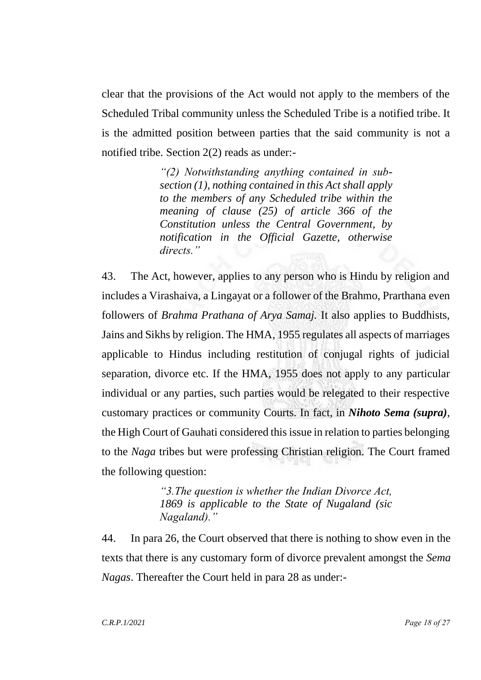clear that the provisions of the Act would not apply to the members of the Scheduled Tribal community unless the Scheduled Tribe is a notified tribe. It is the admitted position between parties that the said community is not a notified tribe. Section 2(2) reads as under:-

> *"(2) Notwithstanding anything contained in subsection (1), nothing contained in this Act shall apply to the members of any Scheduled tribe within the meaning of clause (25) of article 366 of the Constitution unless the Central Government, by notification in the Official Gazette, otherwise directs."*

43. The Act, however, applies to any person who is Hindu by religion and includes a Virashaiva, a Lingayat or a follower of the Brahmo, Prarthana even followers of *Brahma Prathana of Arya Samaj.* It also applies to Buddhists, Jains and Sikhs by religion. The HMA, 1955 regulates all aspects of marriages applicable to Hindus including restitution of conjugal rights of judicial separation, divorce etc. If the HMA, 1955 does not apply to any particular individual or any parties, such parties would be relegated to their respective customary practices or community Courts. In fact, in *Nihoto Sema (supra)*, the High Court of Gauhati considered this issue in relation to parties belonging to the *Naga* tribes but were professing Christian religion. The Court framed the following question:

> *"3.The question is whether the Indian Divorce Act, 1869 is applicable to the State of Nugaland (sic Nagaland)."*

44. In para 26, the Court observed that there is nothing to show even in the texts that there is any customary form of divorce prevalent amongst the *Sema Nagas*. Thereafter the Court held in para 28 as under:-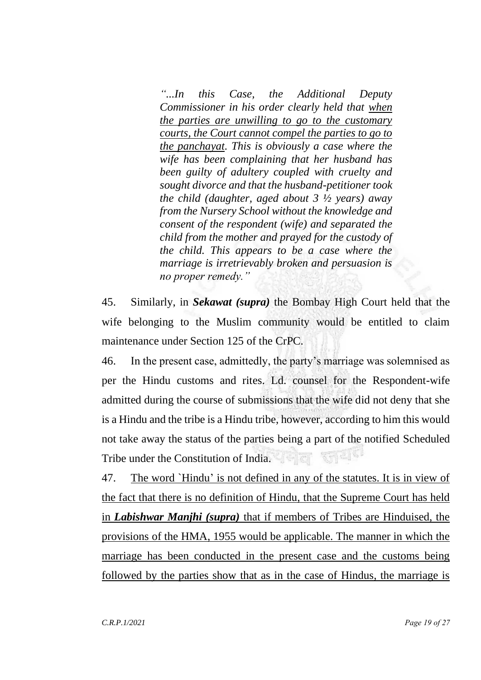*"...In this Case, the Additional Deputy Commissioner in his order clearly held that when the parties are unwilling to go to the customary courts, the Court cannot compel the parties to go to the panchayat. This is obviously a case where the wife has been complaining that her husband has been guilty of adultery coupled with cruelty and sought divorce and that the husband-petitioner took the child (daughter, aged about 3 ½ years) away from the Nursery School without the knowledge and consent of the respondent (wife) and separated the child from the mother and prayed for the custody of the child. This appears to be a case where the marriage is irretrievably broken and persuasion is no proper remedy."*

45. Similarly, in *Sekawat (supra)* the Bombay High Court held that the wife belonging to the Muslim community would be entitled to claim maintenance under Section 125 of the CrPC.

46. In the present case, admittedly, the party's marriage was solemnised as per the Hindu customs and rites. Ld. counsel for the Respondent-wife admitted during the course of submissions that the wife did not deny that she is a Hindu and the tribe is a Hindu tribe, however, according to him this would not take away the status of the parties being a part of the notified Scheduled Tribe under the Constitution of India.  $22.71 - 12.7$ 

47. The word `Hindu' is not defined in any of the statutes. It is in view of the fact that there is no definition of Hindu, that the Supreme Court has held in *Labishwar Manjhi (supra)* that if members of Tribes are Hinduised, the provisions of the HMA, 1955 would be applicable. The manner in which the marriage has been conducted in the present case and the customs being followed by the parties show that as in the case of Hindus, the marriage is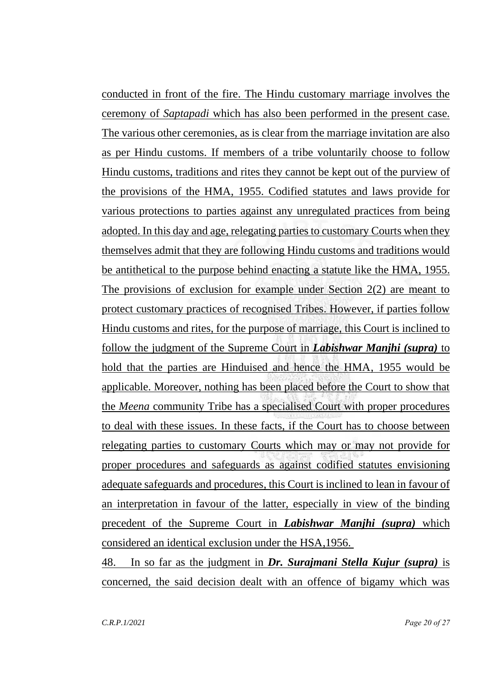conducted in front of the fire. The Hindu customary marriage involves the ceremony of *Saptapadi* which has also been performed in the present case. The various other ceremonies, as is clear from the marriage invitation are also as per Hindu customs. If members of a tribe voluntarily choose to follow Hindu customs, traditions and rites they cannot be kept out of the purview of the provisions of the HMA, 1955. Codified statutes and laws provide for various protections to parties against any unregulated practices from being adopted. In this day and age, relegating parties to customary Courts when they themselves admit that they are following Hindu customs and traditions would be antithetical to the purpose behind enacting a statute like the HMA, 1955. The provisions of exclusion for example under Section 2(2) are meant to protect customary practices of recognised Tribes. However, if parties follow Hindu customs and rites, for the purpose of marriage, this Court is inclined to follow the judgment of the Supreme Court in *Labishwar Manjhi (supra)* to hold that the parties are Hinduised and hence the HMA, 1955 would be applicable. Moreover, nothing has been placed before the Court to show that the *Meena* community Tribe has a specialised Court with proper procedures to deal with these issues. In these facts, if the Court has to choose between relegating parties to customary Courts which may or may not provide for proper procedures and safeguards as against codified statutes envisioning adequate safeguards and procedures, this Court is inclined to lean in favour of an interpretation in favour of the latter, especially in view of the binding precedent of the Supreme Court in *Labishwar Manjhi (supra)* which considered an identical exclusion under the HSA,1956.

48. In so far as the judgment in *Dr. Surajmani Stella Kujur (supra)* is concerned, the said decision dealt with an offence of bigamy which was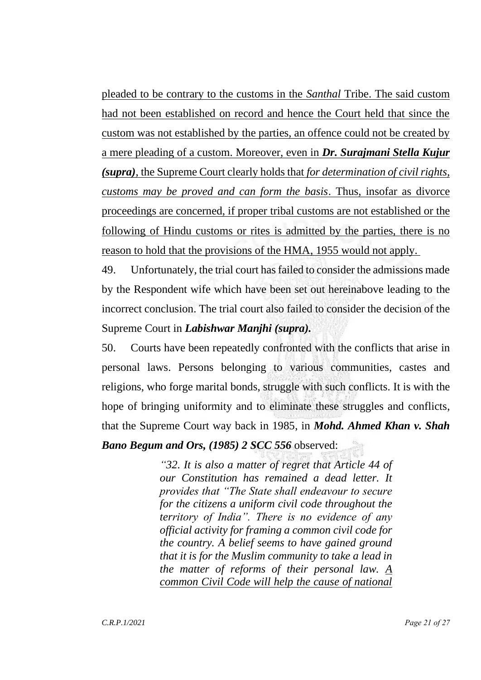pleaded to be contrary to the customs in the *Santhal* Tribe. The said custom had not been established on record and hence the Court held that since the custom was not established by the parties, an offence could not be created by a mere pleading of a custom. Moreover, even in *Dr. Surajmani Stella Kujur (supra)*, the Supreme Court clearly holds that *for determination of civil rights, customs may be proved and can form the basis*. Thus, insofar as divorce proceedings are concerned, if proper tribal customs are not established or the following of Hindu customs or rites is admitted by the parties, there is no reason to hold that the provisions of the HMA, 1955 would not apply.

49. Unfortunately, the trial court has failed to consider the admissions made by the Respondent wife which have been set out hereinabove leading to the incorrect conclusion. The trial court also failed to consider the decision of the Supreme Court in *Labishwar Manjhi (supra).*

50. Courts have been repeatedly confronted with the conflicts that arise in personal laws. Persons belonging to various communities, castes and religions, who forge marital bonds, struggle with such conflicts. It is with the hope of bringing uniformity and to eliminate these struggles and conflicts, that the Supreme Court way back in 1985, in *Mohd. Ahmed Khan v. Shah Bano Begum and Ors, (1985) 2 SCC 556* observed:

> *"32. It is also a matter of regret that Article 44 of our Constitution has remained a dead letter. It provides that "The State shall endeavour to secure for the citizens a uniform civil code throughout the territory of India". There is no evidence of any official activity for framing a common civil code for the country. A belief seems to have gained ground that it is for the Muslim community to take a lead in the matter of reforms of their personal law. A common Civil Code will help the cause of national*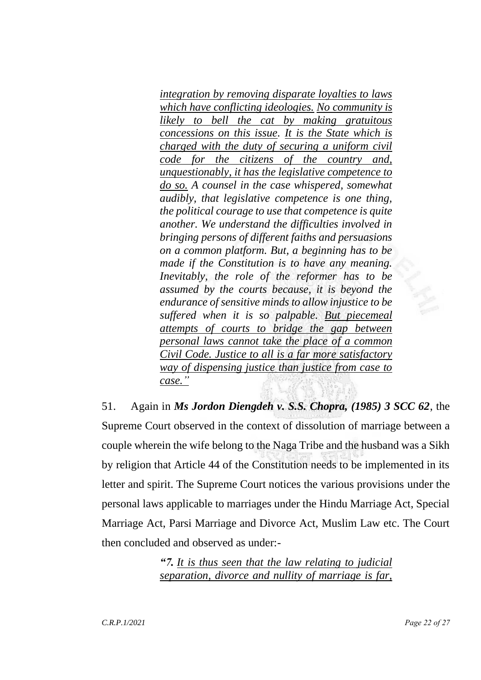*integration by removing disparate loyalties to laws which have conflicting ideologies. No community is likely to bell the cat by making gratuitous concessions on this issue. It is the State which is charged with the duty of securing a uniform civil code for the citizens of the country and, unquestionably, it has the legislative competence to do so. A counsel in the case whispered, somewhat audibly, that legislative competence is one thing, the political courage to use that competence is quite another. We understand the difficulties involved in bringing persons of different faiths and persuasions on a common platform. But, a beginning has to be made if the Constitution is to have any meaning. Inevitably, the role of the reformer has to be assumed by the courts because, it is beyond the endurance of sensitive minds to allow injustice to be suffered when it is so palpable. But piecemeal attempts of courts to bridge the gap between personal laws cannot take the place of a common Civil Code. Justice to all is a far more satisfactory way of dispensing justice than justice from case to case."*

51. Again in *Ms Jordon Diengdeh v. S.S. Chopra, (1985) 3 SCC 62*, the Supreme Court observed in the context of dissolution of marriage between a couple wherein the wife belong to the Naga Tribe and the husband was a Sikh by religion that Article 44 of the Constitution needs to be implemented in its letter and spirit. The Supreme Court notices the various provisions under the personal laws applicable to marriages under the Hindu Marriage Act, Special Marriage Act, Parsi Marriage and Divorce Act, Muslim Law etc. The Court then concluded and observed as under:-

> *"7. It is thus seen that the law relating to judicial separation, divorce and nullity of marriage is far,*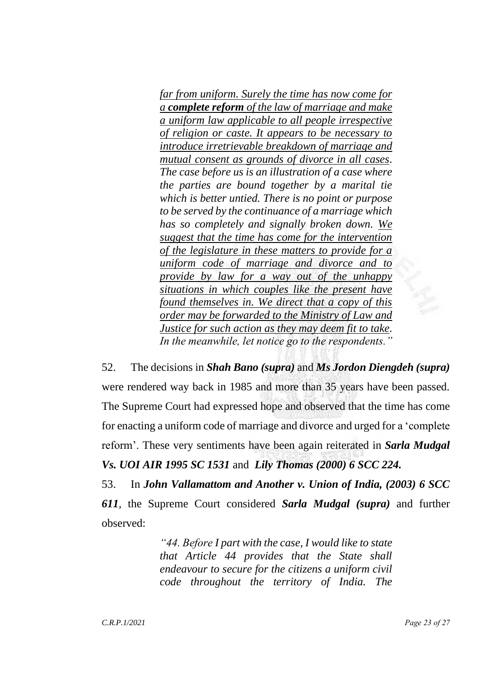*far from uniform. Surely the time has now come for a complete reform of the law of marriage and make a uniform law applicable to all people irrespective of religion or caste. It appears to be necessary to introduce irretrievable breakdown of marriage and mutual consent as grounds of divorce in all cases. The case before us is an illustration of a case where the parties are bound together by a marital tie which is better untied. There is no point or purpose to be served by the continuance of a marriage which has so completely and signally broken down. We suggest that the time has come for the intervention of the legislature in these matters to provide for a uniform code of marriage and divorce and to provide by law for a way out of the unhappy situations in which couples like the present have found themselves in. We direct that a copy of this order may be forwarded to the Ministry of Law and Justice for such action as they may deem fit to take. In the meanwhile, let notice go to the respondents."*

52. The decisions in *Shah Bano (supra)* and *Ms Jordon Diengdeh (supra)*  were rendered way back in 1985 and more than 35 years have been passed. The Supreme Court had expressed hope and observed that the time has come for enacting a uniform code of marriage and divorce and urged for a 'complete reform'. These very sentiments have been again reiterated in *Sarla Mudgal Vs. UOI AIR 1995 SC 1531* and *Lily Thomas (2000) 6 SCC 224.*

53. In *John Vallamattom and Another v. Union of India, (2003) 6 SCC 611,* the Supreme Court considered *Sarla Mudgal (supra)* and further observed:

> *"44. Before I part with the case, I would like to state that Article 44 provides that the State shall endeavour to secure for the citizens a uniform civil code throughout the territory of India. The*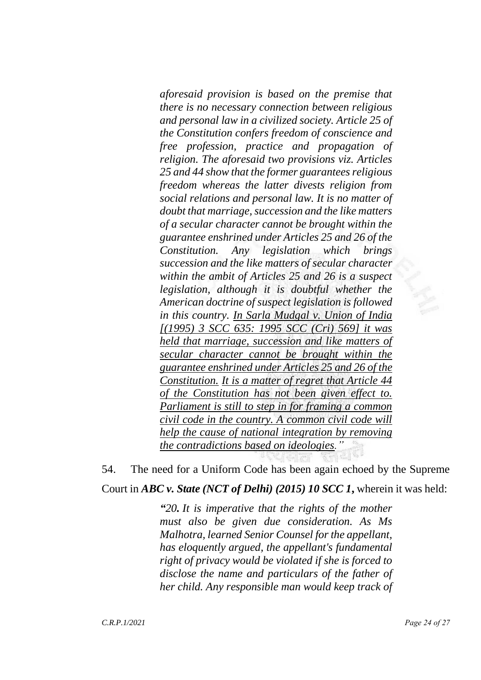*aforesaid provision is based on the premise that there is no necessary connection between religious and personal law in a civilized society. Article 25 of the Constitution confers freedom of conscience and free profession, practice and propagation of religion. The aforesaid two provisions viz. Articles 25 and 44 show that the former guarantees religious freedom whereas the latter divests religion from social relations and personal law. It is no matter of doubt that marriage, succession and the like matters of a secular character cannot be brought within the guarantee enshrined under Articles 25 and 26 of the Constitution. Any legislation which brings succession and the like matters of secular character within the ambit of Articles 25 and 26 is a suspect legislation, although it is doubtful whether the American doctrine of suspect legislation is followed in this country. In Sarla Mudgal v. Union of India [(1995) 3 SCC 635: 1995 SCC (Cri) 569] it was held that marriage, succession and like matters of secular character cannot be brought within the guarantee enshrined under Articles 25 and 26 of the Constitution. It is a matter of regret that Article 44 of the Constitution has not been given effect to. Parliament is still to step in for framing a common civil code in the country. A common civil code will help the cause of national integration by removing the contradictions based on ideologies."*

54. The need for a Uniform Code has been again echoed by the Supreme Court in *ABC v. State (NCT of Delhi) (2015) 10 SCC 1***,** wherein it was held:

> *"20. It is imperative that the rights of the mother must also be given due consideration. As Ms Malhotra, learned Senior Counsel for the appellant, has eloquently argued, the appellant's fundamental right of privacy would be violated if she is forced to disclose the name and particulars of the father of her child. Any responsible man would keep track of*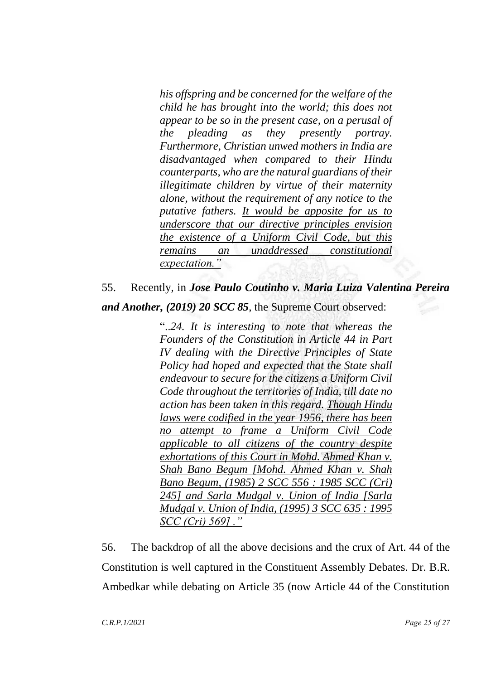*his offspring and be concerned for the welfare of the child he has brought into the world; this does not appear to be so in the present case, on a perusal of the pleading as they presently portray. Furthermore, Christian unwed mothers in India are disadvantaged when compared to their Hindu counterparts, who are the natural guardians of their illegitimate children by virtue of their maternity alone, without the requirement of any notice to the putative fathers. It would be apposite for us to underscore that our directive principles envision the existence of a Uniform Civil Code, but this remains an unaddressed constitutional expectation."*

### 55. Recently, in *Jose Paulo Coutinho v. Maria Luiza Valentina Pereira*

*and Another, (2019) 20 SCC 85*, the Supreme Court observed:

"..*24. It is interesting to note that whereas the Founders of the Constitution in Article 44 in Part IV dealing with the Directive Principles of State Policy had hoped and expected that the State shall endeavour to secure for the citizens a Uniform Civil Code throughout the territories of India, till date no action has been taken in this regard. Though Hindu laws were codified in the year 1956, there has been no attempt to frame a Uniform Civil Code applicable to all citizens of the country despite exhortations of this Court in Mohd. Ahmed Khan v. Shah Bano Begum [Mohd. Ahmed Khan v. Shah Bano Begum, (1985) 2 SCC 556 : 1985 SCC (Cri) 245] and Sarla Mudgal v. Union of India [Sarla Mudgal v. Union of India, (1995) 3 SCC 635 : 1995 SCC (Cri) 569] ."*

56. The backdrop of all the above decisions and the crux of Art. 44 of the Constitution is well captured in the Constituent Assembly Debates. Dr. B.R. Ambedkar while debating on Article 35 (now Article 44 of the Constitution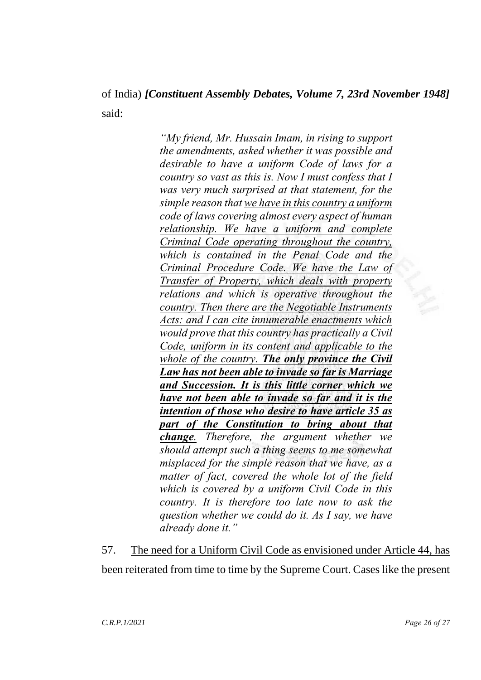# of India) *[Constituent Assembly Debates, Volume 7, 23rd November 1948]* said:

*"My friend, Mr. Hussain Imam, in rising to support the amendments, asked whether it was possible and desirable to have a uniform Code of laws for a country so vast as this is. Now I must confess that I was very much surprised at that statement, for the simple reason that we have in this country a uniform code of laws covering almost every aspect of human relationship. We have a uniform and complete Criminal Code operating throughout the country, which is contained in the Penal Code and the Criminal Procedure Code. We have the Law of Transfer of Property, which deals with property relations and which is operative throughout the country. Then there are the Negotiable Instruments Acts: and I can cite innumerable enactments which would prove that this country has practically a Civil Code, uniform in its content and applicable to the whole of the country. The only province the Civil Law has not been able to invade so far is Marriage and Succession. It is this little corner which we have not been able to invade so far and it is the intention of those who desire to have article 35 as part of the Constitution to bring about that change. Therefore, the argument whether we should attempt such a thing seems to me somewhat misplaced for the simple reason that we have, as a matter of fact, covered the whole lot of the field which is covered by a uniform Civil Code in this country. It is therefore too late now to ask the question whether we could do it. As I say, we have already done it."*

57. The need for a Uniform Civil Code as envisioned under Article 44, has been reiterated from time to time by the Supreme Court. Cases like the present